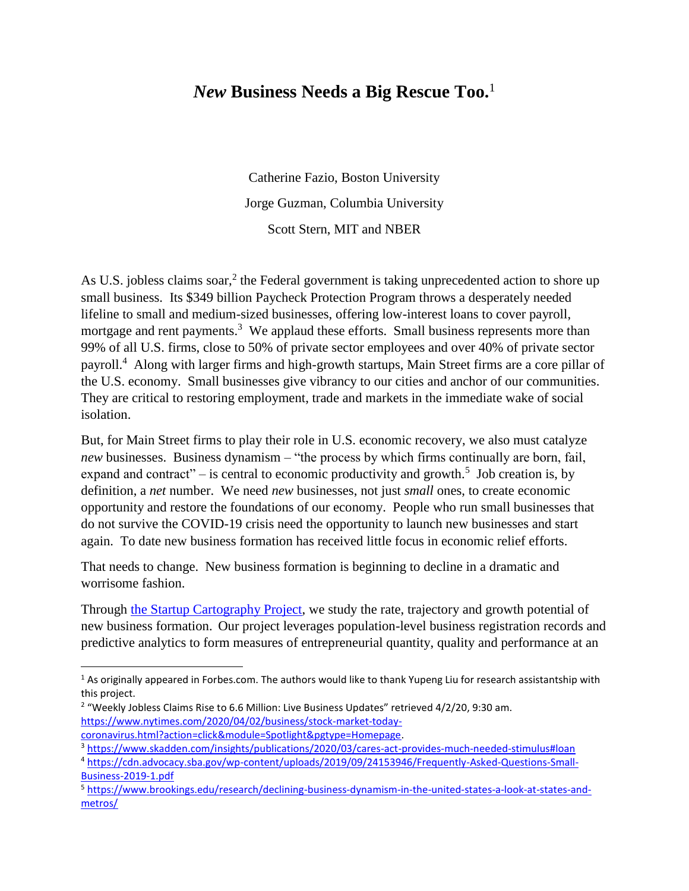## *New* **Business Needs a Big Rescue Too.**<sup>1</sup>

Catherine Fazio, Boston University Jorge Guzman, Columbia University Scott Stern, MIT and NBER

As U.S. jobless claims soar,<sup>2</sup> the Federal government is taking unprecedented action to shore up small business. Its \$349 billion Paycheck Protection Program throws a desperately needed lifeline to small and medium-sized businesses, offering low-interest loans to cover payroll, mortgage and rent payments.<sup>3</sup> We applaud these efforts. Small business represents more than 99% of all U.S. firms, close to 50% of private sector employees and over 40% of private sector payroll.<sup>4</sup> Along with larger firms and high-growth startups, Main Street firms are a core pillar of the U.S. economy. Small businesses give vibrancy to our cities and anchor of our communities. They are critical to restoring employment, trade and markets in the immediate wake of social isolation.

But, for Main Street firms to play their role in U.S. economic recovery, we also must catalyze *new* businesses. Business dynamism – "the process by which firms continually are born, fail, expand and contract" – is central to economic productivity and growth.<sup>5</sup> Job creation is, by definition, a *net* number. We need *new* businesses, not just *small* ones, to create economic opportunity and restore the foundations of our economy. People who run small businesses that do not survive the COVID-19 crisis need the opportunity to launch new businesses and start again. To date new business formation has received little focus in economic relief efforts.

That needs to change. New business formation is beginning to decline in a dramatic and worrisome fashion.

Through [the Startup Cartography Project,](https://www.startupcartography.com/home) we study the rate, trajectory and growth potential of new business formation. Our project leverages population-level business registration records and predictive analytics to form measures of entrepreneurial quantity, quality and performance at an

 $\overline{a}$ 

 $1$  As originally appeared in Forbes.com. The authors would like to thank Yupeng Liu for research assistantship with this project.

 $2$  "Weekly Jobless Claims Rise to 6.6 Million: Live Business Updates" retrieved 4/2/20, 9:30 am. [https://www.nytimes.com/2020/04/02/business/stock-market-today](https://www.nytimes.com/2020/04/02/business/stock-market-today-coronavirus.html?action=click&module=Spotlight&pgtype=Homepage)[coronavirus.html?action=click&module=Spotlight&pgtype=Homepage.](https://www.nytimes.com/2020/04/02/business/stock-market-today-coronavirus.html?action=click&module=Spotlight&pgtype=Homepage)

<sup>3</sup> <https://www.skadden.com/insights/publications/2020/03/cares-act-provides-much-needed-stimulus#loan>

<sup>4</sup> [https://cdn.advocacy.sba.gov/wp-content/uploads/2019/09/24153946/Frequently-Asked-Questions-Small-](https://cdn.advocacy.sba.gov/wp-content/uploads/2019/09/24153946/Frequently-Asked-Questions-Small-Business-2019-1.pdf)[Business-2019-1.pdf](https://cdn.advocacy.sba.gov/wp-content/uploads/2019/09/24153946/Frequently-Asked-Questions-Small-Business-2019-1.pdf)

<sup>5</sup> [https://www.brookings.edu/research/declining-business-dynamism-in-the-united-states-a-look-at-states-and](https://www.brookings.edu/research/declining-business-dynamism-in-the-united-states-a-look-at-states-and-metros/)[metros/](https://www.brookings.edu/research/declining-business-dynamism-in-the-united-states-a-look-at-states-and-metros/)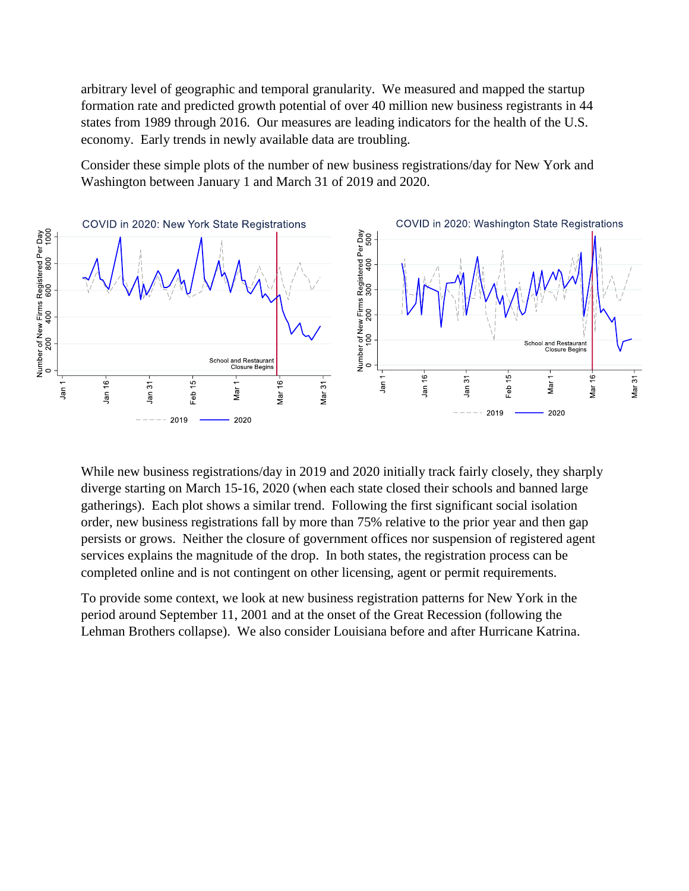arbitrary level of geographic and temporal granularity. We measured and mapped the startup formation rate and predicted growth potential of over 40 million new business registrants in 44 states from 1989 through 2016. Our measures are leading indicators for the health of the U.S. economy. Early trends in newly available data are troubling.

Consider these simple plots of the number of new business registrations/day for New York and Washington between January 1 and March 31 of 2019 and 2020.



While new business registrations/day in 2019 and 2020 initially track fairly closely, they sharply diverge starting on March 15-16, 2020 (when each state closed their schools and banned large gatherings). Each plot shows a similar trend. Following the first significant social isolation order, new business registrations fall by more than 75% relative to the prior year and then gap persists or grows. Neither the closure of government offices nor suspension of registered agent services explains the magnitude of the drop. In both states, the registration process can be completed online and is not contingent on other licensing, agent or permit requirements.

To provide some context, we look at new business registration patterns for New York in the period around September 11, 2001 and at the onset of the Great Recession (following the Lehman Brothers collapse). We also consider Louisiana before and after Hurricane Katrina.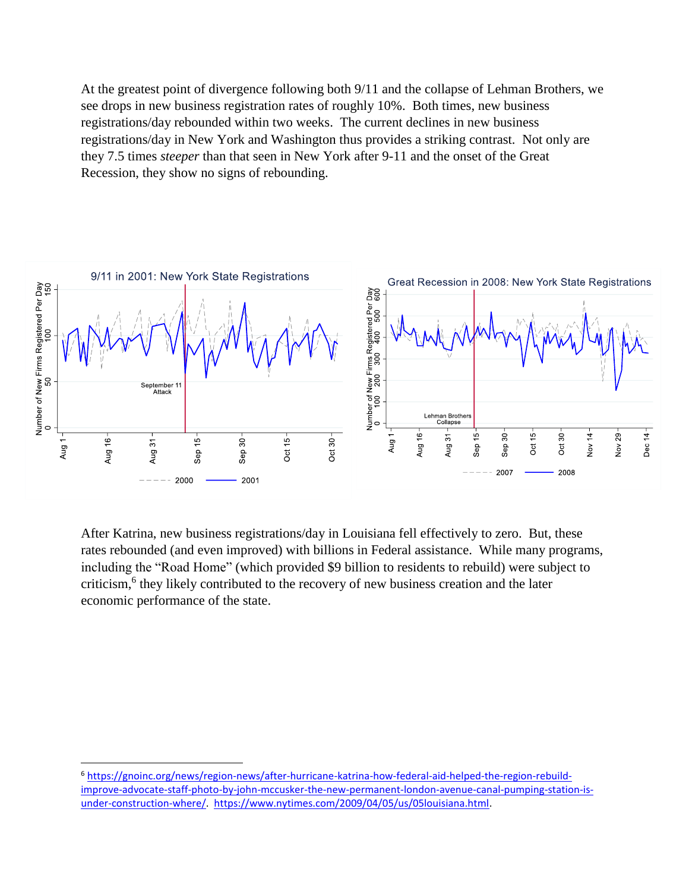At the greatest point of divergence following both 9/11 and the collapse of Lehman Brothers, we see drops in new business registration rates of roughly 10%. Both times, new business registrations/day rebounded within two weeks. The current declines in new business registrations/day in New York and Washington thus provides a striking contrast. Not only are they 7.5 times *steeper* than that seen in New York after 9-11 and the onset of the Great Recession, they show no signs of rebounding.



After Katrina, new business registrations/day in Louisiana fell effectively to zero. But, these rates rebounded (and even improved) with billions in Federal assistance. While many programs, including the "Road Home" (which provided \$9 billion to residents to rebuild) were subject to criticism,<sup>6</sup> they likely contributed to the recovery of new business creation and the later economic performance of the state.

 $\overline{a}$ 

<sup>6</sup> [https://gnoinc.org/news/region-news/after-hurricane-katrina-how-federal-aid-helped-the-region-rebuild](https://gnoinc.org/news/region-news/after-hurricane-katrina-how-federal-aid-helped-the-region-rebuild-improve-advocate-staff-photo-by-john-mccusker-the-new-permanent-london-avenue-canal-pumping-station-is-under-construction-where/)[improve-advocate-staff-photo-by-john-mccusker-the-new-permanent-london-avenue-canal-pumping-station-is](https://gnoinc.org/news/region-news/after-hurricane-katrina-how-federal-aid-helped-the-region-rebuild-improve-advocate-staff-photo-by-john-mccusker-the-new-permanent-london-avenue-canal-pumping-station-is-under-construction-where/)[under-construction-where/.](https://gnoinc.org/news/region-news/after-hurricane-katrina-how-federal-aid-helped-the-region-rebuild-improve-advocate-staff-photo-by-john-mccusker-the-new-permanent-london-avenue-canal-pumping-station-is-under-construction-where/) [https://www.nytimes.com/2009/04/05/us/05louisiana.html.](https://www.nytimes.com/2009/04/05/us/05louisiana.html)